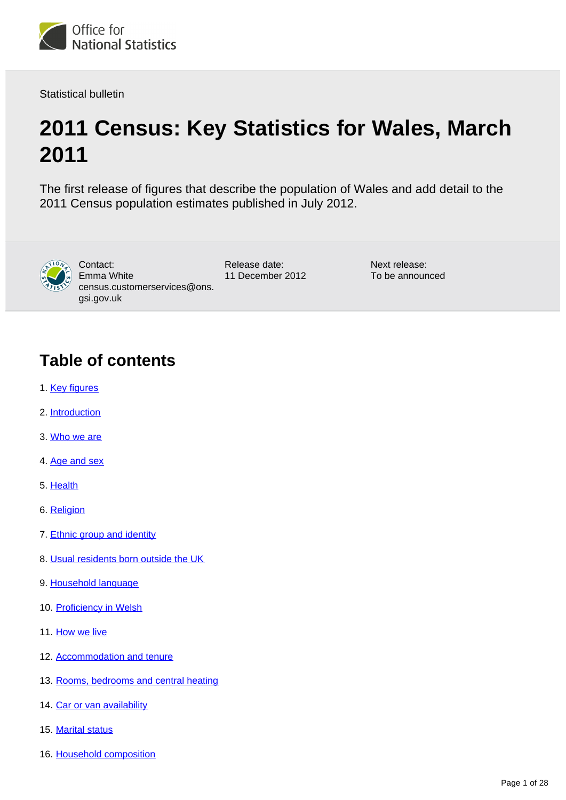

Statistical bulletin

# **2011 Census: Key Statistics for Wales, March 2011**

The first release of figures that describe the population of Wales and add detail to the 2011 Census population estimates published in July 2012.



Contact: Emma White census.customerservices@ons. gsi.gov.uk

Release date: 11 December 2012 Next release: To be announced

# **Table of contents**

- 1. [Key figures](#page-2-0)
- 2. [Introduction](#page-2-1)
- 3. [Who we are](#page-4-0)
- 4. [Age and sex](#page-4-1)
- 5. [Health](#page-4-2)
- 6. [Religion](#page-6-0)
- 7. [Ethnic group and identity](#page-7-0)
- 8. [Usual residents born outside the UK](#page-9-0)
- 9. [Household language](#page-11-0)
- 10. [Proficiency in Welsh](#page-11-1)
- 11. [How we live](#page-12-0)
- 12. [Accommodation and tenure](#page-13-0)
- 13. [Rooms, bedrooms and central heating](#page-15-0)
- 14. [Car or van availability](#page-16-0)
- 15. [Marital status](#page-17-0)
- 16. [Household composition](#page-17-1)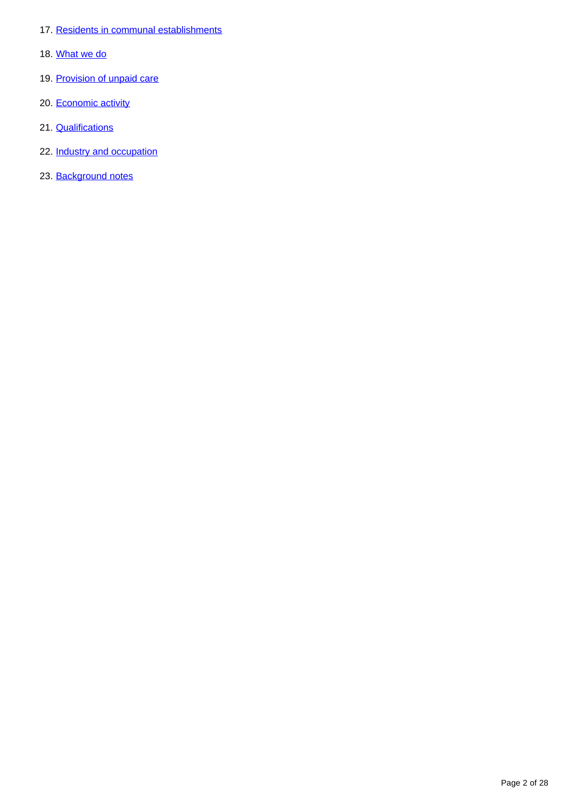- 17. [Residents in communal establishments](#page-18-0)
- 18. [What we do](#page-19-0)
- 19. [Provision of unpaid care](#page-19-1)
- 20. [Economic activity](#page-20-0)
- 21. **[Qualifications](#page-23-0)**
- 22. [Industry and occupation](#page-24-0)
- 23. [Background notes](#page-26-0)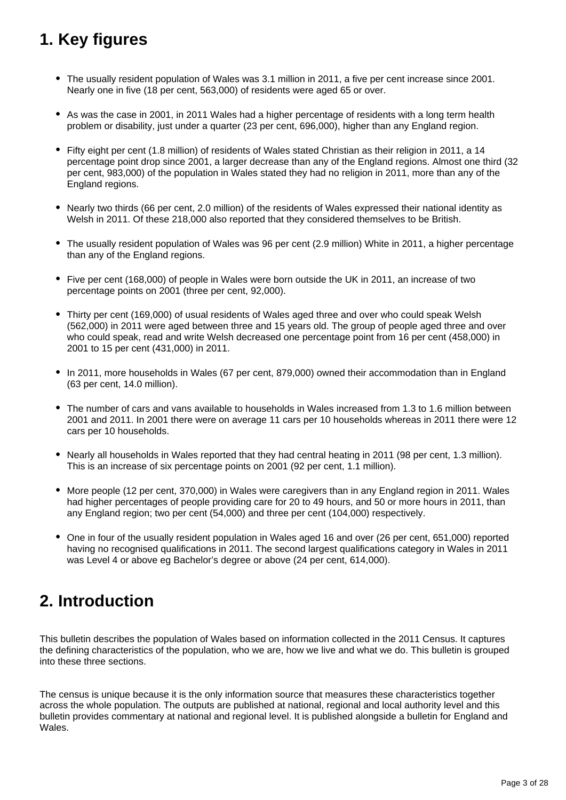# <span id="page-2-0"></span>**1. Key figures**

- The usually resident population of Wales was 3.1 million in 2011, a five per cent increase since 2001. Nearly one in five (18 per cent, 563,000) of residents were aged 65 or over.
- As was the case in 2001, in 2011 Wales had a higher percentage of residents with a long term health problem or disability, just under a quarter (23 per cent, 696,000), higher than any England region.
- Fifty eight per cent (1.8 million) of residents of Wales stated Christian as their religion in 2011, a 14 percentage point drop since 2001, a larger decrease than any of the England regions. Almost one third (32 per cent, 983,000) of the population in Wales stated they had no religion in 2011, more than any of the England regions.
- Nearly two thirds (66 per cent, 2.0 million) of the residents of Wales expressed their national identity as Welsh in 2011. Of these 218,000 also reported that they considered themselves to be British.
- The usually resident population of Wales was 96 per cent (2.9 million) White in 2011, a higher percentage than any of the England regions.
- Five per cent (168,000) of people in Wales were born outside the UK in 2011, an increase of two percentage points on 2001 (three per cent, 92,000).
- Thirty per cent (169,000) of usual residents of Wales aged three and over who could speak Welsh (562,000) in 2011 were aged between three and 15 years old. The group of people aged three and over who could speak, read and write Welsh decreased one percentage point from 16 per cent (458,000) in 2001 to 15 per cent (431,000) in 2011.
- In 2011, more households in Wales (67 per cent, 879,000) owned their accommodation than in England (63 per cent, 14.0 million).
- The number of cars and vans available to households in Wales increased from 1.3 to 1.6 million between 2001 and 2011. In 2001 there were on average 11 cars per 10 households whereas in 2011 there were 12 cars per 10 households.
- Nearly all households in Wales reported that they had central heating in 2011 (98 per cent, 1.3 million). This is an increase of six percentage points on 2001 (92 per cent, 1.1 million).
- More people (12 per cent, 370,000) in Wales were caregivers than in any England region in 2011. Wales had higher percentages of people providing care for 20 to 49 hours, and 50 or more hours in 2011, than any England region; two per cent (54,000) and three per cent (104,000) respectively.
- One in four of the usually resident population in Wales aged 16 and over (26 per cent, 651,000) reported having no recognised qualifications in 2011. The second largest qualifications category in Wales in 2011 was Level 4 or above eg Bachelor's degree or above (24 per cent, 614,000).

# <span id="page-2-1"></span>**2. Introduction**

This bulletin describes the population of Wales based on information collected in the 2011 Census. It captures the defining characteristics of the population, who we are, how we live and what we do. This bulletin is grouped into these three sections.

The census is unique because it is the only information source that measures these characteristics together across the whole population. The outputs are published at national, regional and local authority level and this bulletin provides commentary at national and regional level. It is published alongside a bulletin for England and Wales.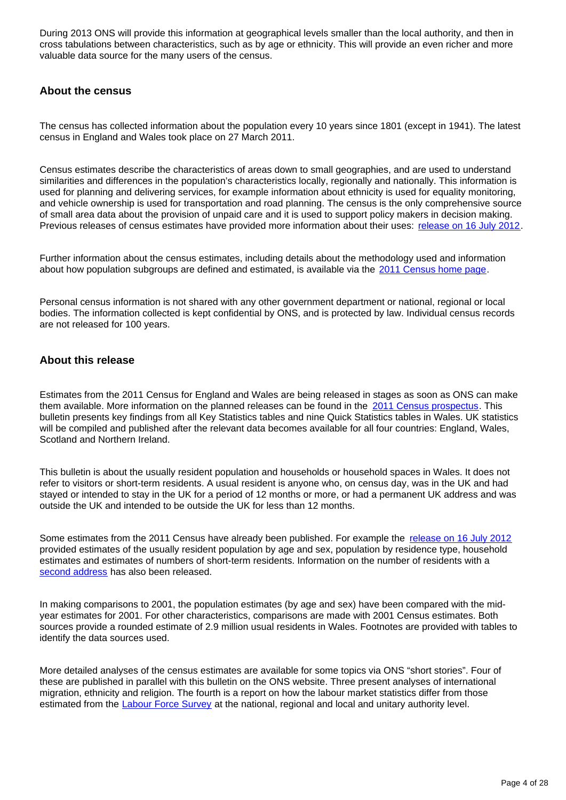During 2013 ONS will provide this information at geographical levels smaller than the local authority, and then in cross tabulations between characteristics, such as by age or ethnicity. This will provide an even richer and more valuable data source for the many users of the census.

### **About the census**

The census has collected information about the population every 10 years since 1801 (except in 1941). The latest census in England and Wales took place on 27 March 2011.

Census estimates describe the characteristics of areas down to small geographies, and are used to understand similarities and differences in the population's characteristics locally, regionally and nationally. This information is used for planning and delivering services, for example information about ethnicity is used for equality monitoring, and vehicle ownership is used for transportation and road planning. The census is the only comprehensive source of small area data about the provision of unpaid care and it is used to support policy makers in decision making. Previous releases of census estimates have provided more information about their uses: [release on 16 July 2012.](http://www.ons.gov.uk/ons/rel/census/2011-census/population-and-household-estimates-for-england-and-wales/index.html)

Further information about the census estimates, including details about the methodology used and information about how population subgroups are defined and estimated, is available via the [2011 Census home page](http://www.ons.gov.uk/ons/guide-method/census/2011/index.html).

Personal census information is not shared with any other government department or national, regional or local bodies. The information collected is kept confidential by ONS, and is protected by law. Individual census records are not released for 100 years.

### **About this release**

Estimates from the 2011 Census for England and Wales are being released in stages as soon as ONS can make them available. More information on the planned releases can be found in the [2011 Census prospectus](http://www.ons.gov.uk/ons/guide-method/census/2011/census-data/2011-census-prospectus/index.html). This bulletin presents key findings from all Key Statistics tables and nine Quick Statistics tables in Wales. UK statistics will be compiled and published after the relevant data becomes available for all four countries: England, Wales, Scotland and Northern Ireland.

This bulletin is about the usually resident population and households or household spaces in Wales. It does not refer to visitors or short-term residents. A usual resident is anyone who, on census day, was in the UK and had stayed or intended to stay in the UK for a period of 12 months or more, or had a permanent UK address and was outside the UK and intended to be outside the UK for less than 12 months.

Some estimates from the 2011 Census have already been published. For example the [release on 16 July 2012](http://www.ons.gov.uk/ons/rel/census/2011-census/population-and-household-estimates-for-england-and-wales/index.html) provided estimates of the usually resident population by age and sex, population by residence type, household estimates and estimates of numbers of short-term residents. Information on the number of residents with a [second address](http://www.ons.gov.uk/ons/rel/census/2011-census/second-address-estimates-for-local-authorities-in-england-and-wales/index.html) has also been released.

In making comparisons to 2001, the population estimates (by age and sex) have been compared with the midyear estimates for 2001. For other characteristics, comparisons are made with 2001 Census estimates. Both sources provide a rounded estimate of 2.9 million usual residents in Wales. Footnotes are provided with tables to identify the data sources used.

More detailed analyses of the census estimates are available for some topics via ONS "short stories". Four of these are published in parallel with this bulletin on the ONS website. Three present analyses of international migration, ethnicity and religion. The fourth is a report on how the labour market statistics differ from those estimated from the [Labour Force Survey](http://www.ons.gov.uk/ons/guide-method/surveys/list-of-surveys/survey.html?survey=%27Labour%20Force%20Survey%27) at the national, regional and local and unitary authority level.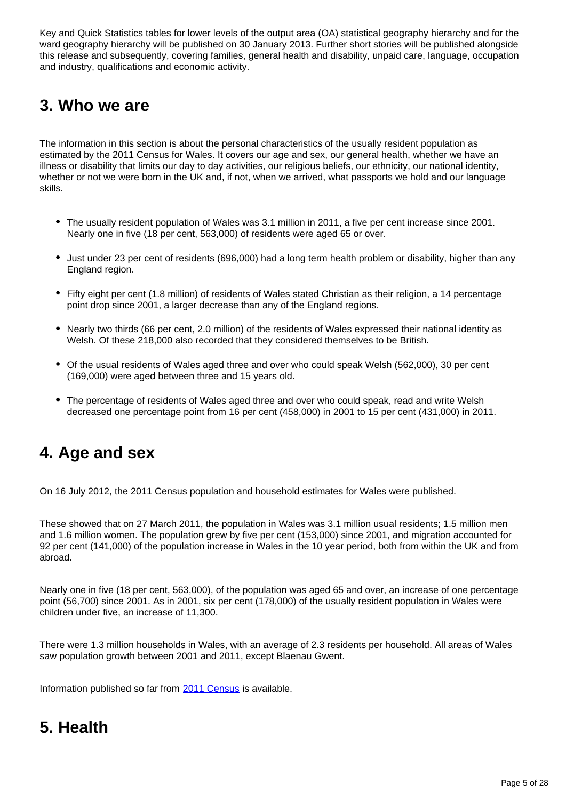Key and Quick Statistics tables for lower levels of the output area (OA) statistical geography hierarchy and for the ward geography hierarchy will be published on 30 January 2013. Further short stories will be published alongside this release and subsequently, covering families, general health and disability, unpaid care, language, occupation and industry, qualifications and economic activity.

# <span id="page-4-0"></span>**3. Who we are**

The information in this section is about the personal characteristics of the usually resident population as estimated by the 2011 Census for Wales. It covers our age and sex, our general health, whether we have an illness or disability that limits our day to day activities, our religious beliefs, our ethnicity, our national identity, whether or not we were born in the UK and, if not, when we arrived, what passports we hold and our language skills.

- The usually resident population of Wales was 3.1 million in 2011, a five per cent increase since 2001. Nearly one in five (18 per cent, 563,000) of residents were aged 65 or over.
- Just under 23 per cent of residents (696,000) had a long term health problem or disability, higher than any England region.
- Fifty eight per cent (1.8 million) of residents of Wales stated Christian as their religion, a 14 percentage point drop since 2001, a larger decrease than any of the England regions.
- Nearly two thirds (66 per cent, 2.0 million) of the residents of Wales expressed their national identity as Welsh. Of these 218,000 also recorded that they considered themselves to be British.
- Of the usual residents of Wales aged three and over who could speak Welsh (562,000), 30 per cent (169,000) were aged between three and 15 years old.
- The percentage of residents of Wales aged three and over who could speak, read and write Welsh decreased one percentage point from 16 per cent (458,000) in 2001 to 15 per cent (431,000) in 2011.

# <span id="page-4-1"></span>**4. Age and sex**

On 16 July 2012, the 2011 Census population and household estimates for Wales were published.

These showed that on 27 March 2011, the population in Wales was 3.1 million usual residents; 1.5 million men and 1.6 million women. The population grew by five per cent (153,000) since 2001, and migration accounted for 92 per cent (141,000) of the population increase in Wales in the 10 year period, both from within the UK and from abroad.

Nearly one in five (18 per cent, 563,000), of the population was aged 65 and over, an increase of one percentage point (56,700) since 2001. As in 2001, six per cent (178,000) of the usually resident population in Wales were children under five, an increase of 11,300.

There were 1.3 million households in Wales, with an average of 2.3 residents per household. All areas of Wales saw population growth between 2001 and 2011, except Blaenau Gwent.

Information published so far from [2011 Census](http://www.ons.gov.uk/ons/rel/census/2011-census/population-and-household-estimates-for-wales/index.html) is available.

# <span id="page-4-2"></span>**5. Health**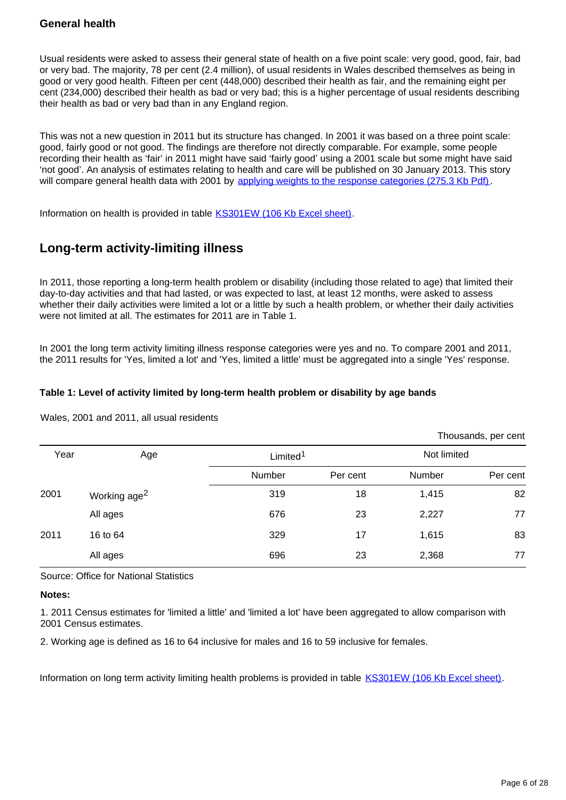### **General health**

Usual residents were asked to assess their general state of health on a five point scale: very good, good, fair, bad or very bad. The majority, 78 per cent (2.4 million), of usual residents in Wales described themselves as being in good or very good health. Fifteen per cent (448,000) described their health as fair, and the remaining eight per cent (234,000) described their health as bad or very bad; this is a higher percentage of usual residents describing their health as bad or very bad than in any England region.

This was not a new question in 2011 but its structure has changed. In 2001 it was based on a three point scale: good, fairly good or not good. The findings are therefore not directly comparable. For example, some people recording their health as 'fair' in 2011 might have said 'fairly good' using a 2001 scale but some might have said 'not good'. An analysis of estimates relating to health and care will be published on 30 January 2013. This story will compare general health data with 2001 by [applying weights to the response categories \(275.3 Kb Pdf\).](http://www.ons.gov.uk/ons/rel/hsq/health-statistics-quarterly/no--41--spring-2009/an-investigation-into-the-impact-of-question-change-on-estimates-of-general-health-status-and-healthy-life-expectancy.pdf)

Information on health is provided in table [KS301EW \(106 Kb Excel sheet\)](http://www.ons.gov.uk/ons/rel/census/2011-census/key-statistics-for-unitary-authorities-in-wales/rft-table-ks301ew.xls).

## **Long-term activity-limiting illness**

In 2011, those reporting a long-term health problem or disability (including those related to age) that limited their day-to-day activities and that had lasted, or was expected to last, at least 12 months, were asked to assess whether their daily activities were limited a lot or a little by such a health problem, or whether their daily activities were not limited at all. The estimates for 2011 are in Table 1.

In 2001 the long term activity limiting illness response categories were yes and no. To compare 2001 and 2011, the 2011 results for 'Yes, limited a lot' and 'Yes, limited a little' must be aggregated into a single 'Yes' response.

### **Table 1: Level of activity limited by long-term health problem or disability by age bands**

Wales, 2001 and 2011, all usual residents

|      |                          |                      |          |             | Thousands, per cent |
|------|--------------------------|----------------------|----------|-------------|---------------------|
| Year | Age                      | Limited <sup>1</sup> |          | Not limited |                     |
|      |                          | Number               | Per cent | Number      | Per cent            |
| 2001 | Working age <sup>2</sup> | 319                  | 18       | 1,415       | 82                  |
|      | All ages                 | 676                  | 23       | 2,227       | 77                  |
| 2011 | 16 to 64                 | 329                  | 17       | 1,615       | 83                  |
|      | All ages                 | 696                  | 23       | 2,368       | 77                  |

Source: Office for National Statistics

### **Notes:**

1. 2011 Census estimates for 'limited a little' and 'limited a lot' have been aggregated to allow comparison with 2001 Census estimates.

2. Working age is defined as 16 to 64 inclusive for males and 16 to 59 inclusive for females.

Information on long term activity limiting health problems is provided in table [KS301EW \(106 Kb Excel sheet\)](http://www.ons.gov.uk/ons/rel/census/2011-census/key-statistics-for-unitary-authorities-in-wales/rft-table-ks301ew.xls).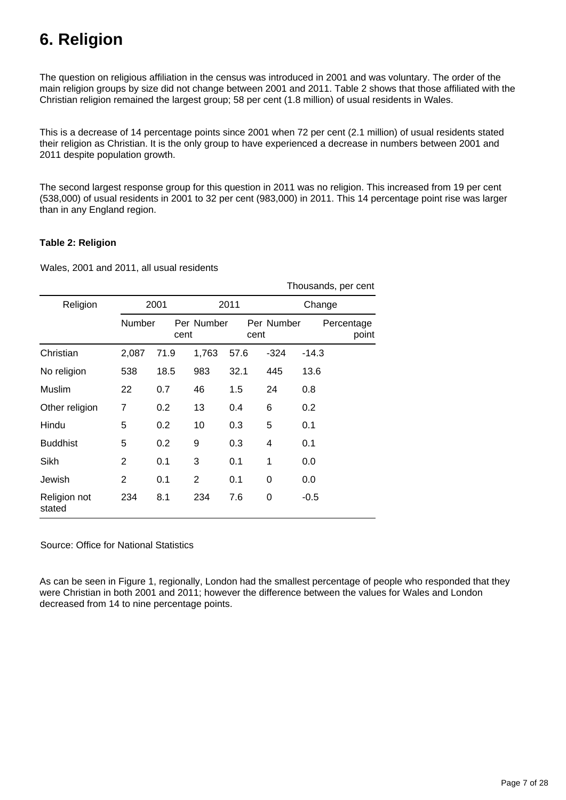# <span id="page-6-0"></span>**6. Religion**

The question on religious affiliation in the census was introduced in 2001 and was voluntary. The order of the main religion groups by size did not change between 2001 and 2011. Table 2 shows that those affiliated with the Christian religion remained the largest group; 58 per cent (1.8 million) of usual residents in Wales.

This is a decrease of 14 percentage points since 2001 when 72 per cent (2.1 million) of usual residents stated their religion as Christian. It is the only group to have experienced a decrease in numbers between 2001 and 2011 despite population growth.

The second largest response group for this question in 2011 was no religion. This increased from 19 per cent (538,000) of usual residents in 2001 to 32 per cent (983,000) in 2011. This 14 percentage point rise was larger than in any England region.

### **Table 2: Religion**

Wales, 2001 and 2011, all usual residents

|                        |                |      |                |      |            | Thousands, per cent |
|------------------------|----------------|------|----------------|------|------------|---------------------|
| Religion               |                | 2001 |                | 2011 |            | Change              |
|                        | Number         | cent | Per Number     | cent | Per Number | Percentage<br>point |
| Christian              | 2,087          | 71.9 | 1,763          | 57.6 | $-324$     | $-14.3$             |
| No religion            | 538            | 18.5 | 983            | 32.1 | 445        | 13.6                |
| Muslim                 | 22             | 0.7  | 46             | 1.5  | 24         | 0.8                 |
| Other religion         | 7              | 0.2  | 13             | 0.4  | 6          | 0.2                 |
| Hindu                  | 5              | 0.2  | 10             | 0.3  | 5          | 0.1                 |
| <b>Buddhist</b>        | 5              | 0.2  | 9              | 0.3  | 4          | 0.1                 |
| Sikh                   | $\overline{2}$ | 0.1  | 3              | 0.1  | 1          | 0.0                 |
| Jewish                 | $\overline{2}$ | 0.1  | $\overline{2}$ | 0.1  | 0          | 0.0                 |
| Religion not<br>stated | 234            | 8.1  | 234            | 7.6  | $\Omega$   | $-0.5$              |

Source: Office for National Statistics

As can be seen in Figure 1, regionally, London had the smallest percentage of people who responded that they were Christian in both 2001 and 2011; however the difference between the values for Wales and London decreased from 14 to nine percentage points.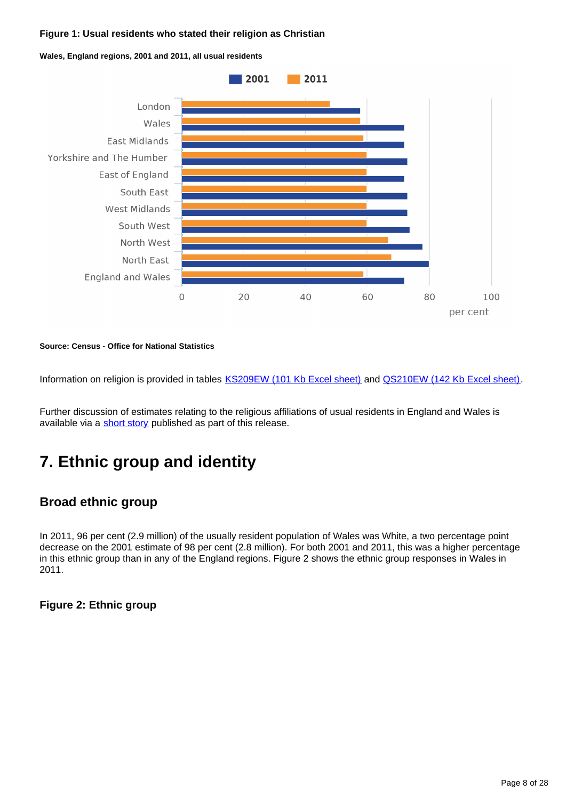### **Figure 1: Usual residents who stated their religion as Christian**

**Wales, England regions, 2001 and 2011, all usual residents**



**Source: Census - Office for National Statistics**

Information on religion is provided in tables **KS209EW** (101 Kb Excel sheet) and **QS210EW** (142 Kb Excel sheet).

Further discussion of estimates relating to the religious affiliations of usual residents in England and Wales is available via a [short story](http://www.ons.gov.uk/ons/rel/census/2011-census/key-statistics-for-local-authorities-in-england-and-wales/rpt-religion.html) published as part of this release.

# <span id="page-7-0"></span>**7. Ethnic group and identity**

## **Broad ethnic group**

In 2011, 96 per cent (2.9 million) of the usually resident population of Wales was White, a two percentage point decrease on the 2001 estimate of 98 per cent (2.8 million). For both 2001 and 2011, this was a higher percentage in this ethnic group than in any of the England regions. Figure 2 shows the ethnic group responses in Wales in 2011.

### **Figure 2: Ethnic group**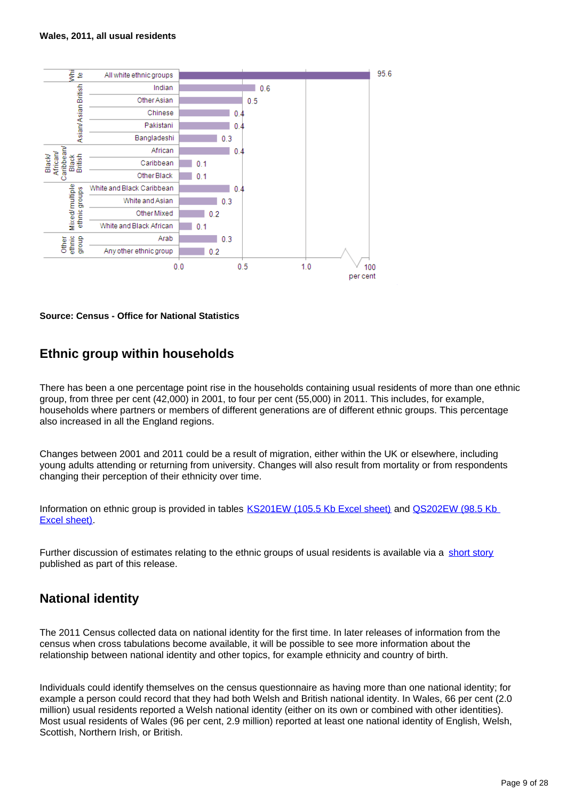#### **Wales, 2011, all usual residents**



**Source: Census - Office for National Statistics**

## **Ethnic group within households**

There has been a one percentage point rise in the households containing usual residents of more than one ethnic group, from three per cent (42,000) in 2001, to four per cent (55,000) in 2011. This includes, for example, households where partners or members of different generations are of different ethnic groups. This percentage also increased in all the England regions.

Changes between 2001 and 2011 could be a result of migration, either within the UK or elsewhere, including young adults attending or returning from university. Changes will also result from mortality or from respondents changing their perception of their ethnicity over time.

Information on ethnic group is provided in tables [KS201EW \(105.5 Kb Excel sheet\)](http://www.ons.gov.uk/ons/rel/census/2011-census/key-statistics-for-unitary-authorities-in-wales/rft-table-ks201ew.xls) and [QS202EW \(98.5 Kb](http://www.ons.gov.uk/ons/rel/census/2011-census/key-statistics-for-unitary-authorities-in-wales/rft-table-qs202ew.xls)  [Excel sheet\)](http://www.ons.gov.uk/ons/rel/census/2011-census/key-statistics-for-unitary-authorities-in-wales/rft-table-qs202ew.xls).

Further discussion of estimates relating to the ethnic groups of usual residents is available via a [short story](http://www.ons.gov.uk/ons/rel/census/2011-census/key-statistics-for-local-authorities-in-england-and-wales/rpt-ethnicity.html) published as part of this release.

## **National identity**

The 2011 Census collected data on national identity for the first time. In later releases of information from the census when cross tabulations become available, it will be possible to see more information about the relationship between national identity and other topics, for example ethnicity and country of birth.

Individuals could identify themselves on the census questionnaire as having more than one national identity; for example a person could record that they had both Welsh and British national identity. In Wales, 66 per cent (2.0 million) usual residents reported a Welsh national identity (either on its own or combined with other identities). Most usual residents of Wales (96 per cent, 2.9 million) reported at least one national identity of English, Welsh, Scottish, Northern Irish, or British.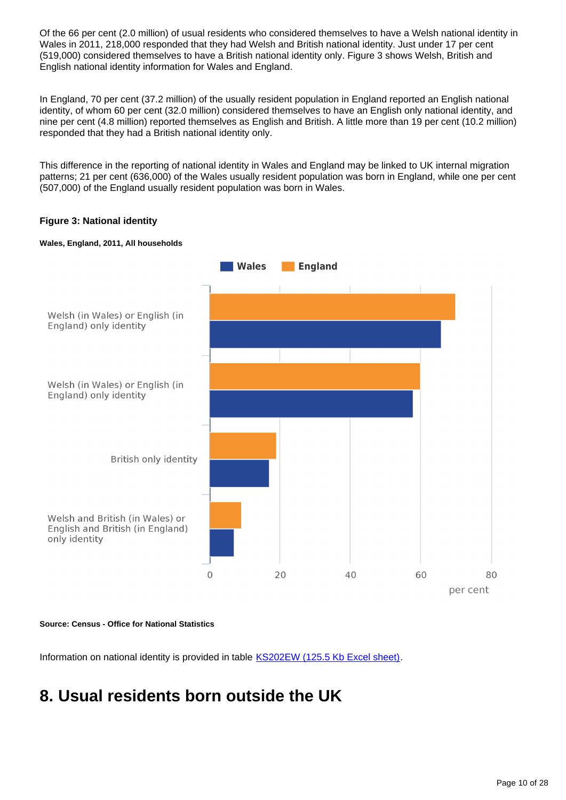Of the 66 per cent (2.0 million) of usual residents who considered themselves to have a Welsh national identity in Wales in 2011, 218,000 responded that they had Welsh and British national identity. Just under 17 per cent (519,000) considered themselves to have a British national identity only. Figure 3 shows Welsh, British and English national identity information for Wales and England.

In England, 70 per cent (37.2 million) of the usually resident population in England reported an English national identity, of whom 60 per cent (32.0 million) considered themselves to have an English only national identity, and nine per cent (4.8 million) reported themselves as English and British. A little more than 19 per cent (10.2 million) responded that they had a British national identity only.

This difference in the reporting of national identity in Wales and England may be linked to UK internal migration patterns; 21 per cent (636,000) of the Wales usually resident population was born in England, while one per cent (507,000) of the England usually resident population was born in Wales.

### **Figure 3: National identity**



#### **Wales, England, 2011, All households**

**Source: Census - Office for National Statistics**

Information on national identity is provided in table [KS202EW \(125.5 Kb Excel sheet\)](http://www.ons.gov.uk/ons/rel/census/2011-census/key-statistics-for-unitary-authorities-in-wales/rft-table-ks202ew.xls).

# <span id="page-9-0"></span>**8. Usual residents born outside the UK**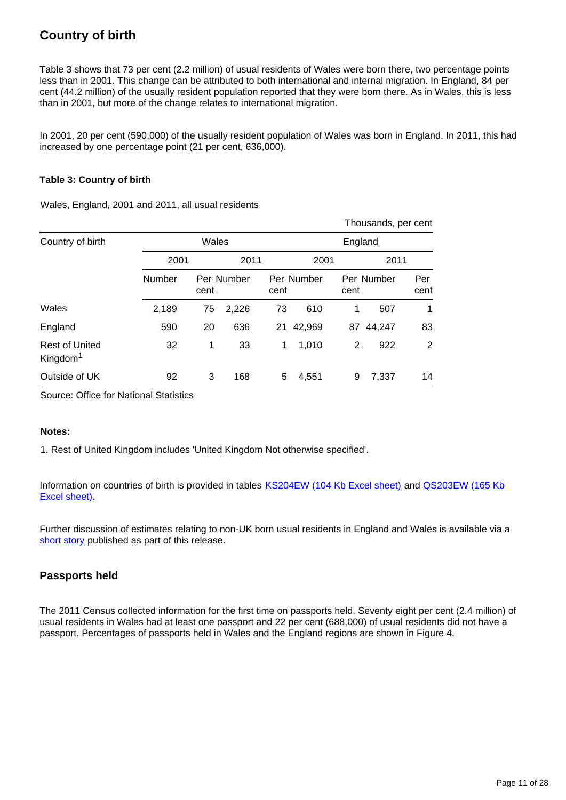## **Country of birth**

Table 3 shows that 73 per cent (2.2 million) of usual residents of Wales were born there, two percentage points less than in 2001. This change can be attributed to both international and internal migration. In England, 84 per cent (44.2 million) of the usually resident population reported that they were born there. As in Wales, this is less than in 2001, but more of the change relates to international migration.

In 2001, 20 per cent (590,000) of the usually resident population of Wales was born in England. In 2011, this had increased by one percentage point (21 per cent, 636,000).

### **Table 3: Country of birth**

Wales, England, 2001 and 2011, all usual residents

|                                               |        |       |            |      |            |         | Thousands, per cent |             |
|-----------------------------------------------|--------|-------|------------|------|------------|---------|---------------------|-------------|
| Country of birth                              |        | Wales |            |      |            | England |                     |             |
|                                               | 2001   |       | 2011       |      | 2001       |         | 2011                |             |
|                                               | Number | cent  | Per Number | cent | Per Number | cent    | Per Number          | Per<br>cent |
| Wales                                         | 2,189  | 75    | 2,226      | 73   | 610        | 1       | 507                 | 1           |
| England                                       | 590    | 20    | 636        | 21   | 42,969     | 87      | 44,247              | 83          |
| <b>Rest of United</b><br>Kingdom <sup>1</sup> | 32     | 1     | 33         | 1    | 1,010      | 2       | 922                 | 2           |
| Outside of UK                                 | 92     | 3     | 168        | 5    | 4,551      | 9       | 7,337               | 14          |

Source: Office for National Statistics

#### **Notes:**

1. Rest of United Kingdom includes 'United Kingdom Not otherwise specified'.

Information on countries of birth is provided in tables [KS204EW \(104 Kb Excel sheet\)](http://www.ons.gov.uk/ons/rel/census/2011-census/key-statistics-for-unitary-authorities-in-wales/rft-table-ks204ew.xls) and QS203EW (165 Kb [Excel sheet\)](http://www.ons.gov.uk/ons/rel/census/2011-census/key-statistics-for-unitary-authorities-in-wales/rft-table-qs203ew.xls).

Further discussion of estimates relating to non-UK born usual residents in England and Wales is available via a [short story](http://www.ons.gov.uk/ons/rel/census/2011-census/key-statistics-for-local-authorities-in-england-and-wales/rpt-international-migrants.html) published as part of this release.

### **Passports held**

The 2011 Census collected information for the first time on passports held. Seventy eight per cent (2.4 million) of usual residents in Wales had at least one passport and 22 per cent (688,000) of usual residents did not have a passport. Percentages of passports held in Wales and the England regions are shown in Figure 4.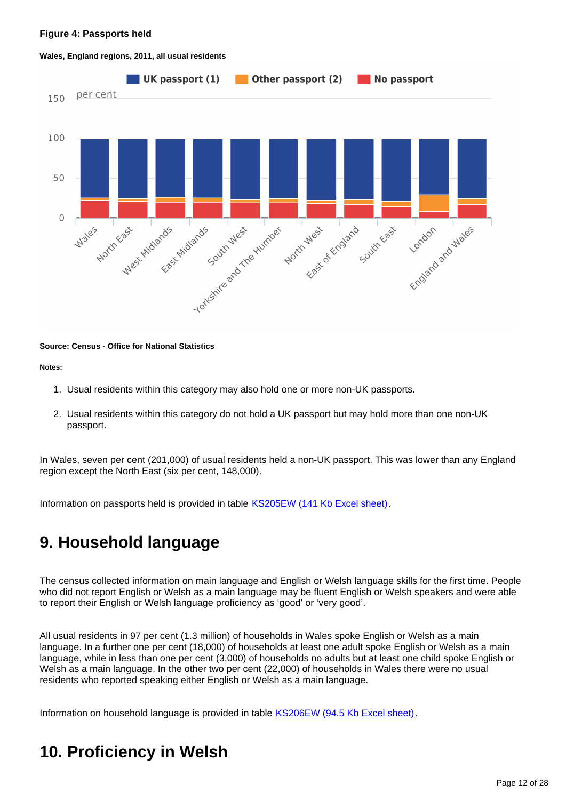#### **Figure 4: Passports held**



#### **Wales, England regions, 2011, all usual residents**

#### **Source: Census - Office for National Statistics**

**Notes:**

- 1. Usual residents within this category may also hold one or more non-UK passports.
- 2. Usual residents within this category do not hold a UK passport but may hold more than one non-UK passport.

In Wales, seven per cent (201,000) of usual residents held a non-UK passport. This was lower than any England region except the North East (six per cent, 148,000).

Information on passports held is provided in table **KS205EW** (141 Kb Excel sheet).

## <span id="page-11-0"></span>**9. Household language**

The census collected information on main language and English or Welsh language skills for the first time. People who did not report English or Welsh as a main language may be fluent English or Welsh speakers and were able to report their English or Welsh language proficiency as 'good' or 'very good'.

All usual residents in 97 per cent (1.3 million) of households in Wales spoke English or Welsh as a main language. In a further one per cent (18,000) of households at least one adult spoke English or Welsh as a main language, while in less than one per cent (3,000) of households no adults but at least one child spoke English or Welsh as a main language. In the other two per cent (22,000) of households in Wales there were no usual residents who reported speaking either English or Welsh as a main language.

Information on household language is provided in table [KS206EW \(94.5 Kb Excel sheet\).](http://www.ons.gov.uk/ons/rel/census/2011-census/key-statistics-for-unitary-authorities-in-wales/rft-table-ks206ew.xls)

# <span id="page-11-1"></span>**10. Proficiency in Welsh**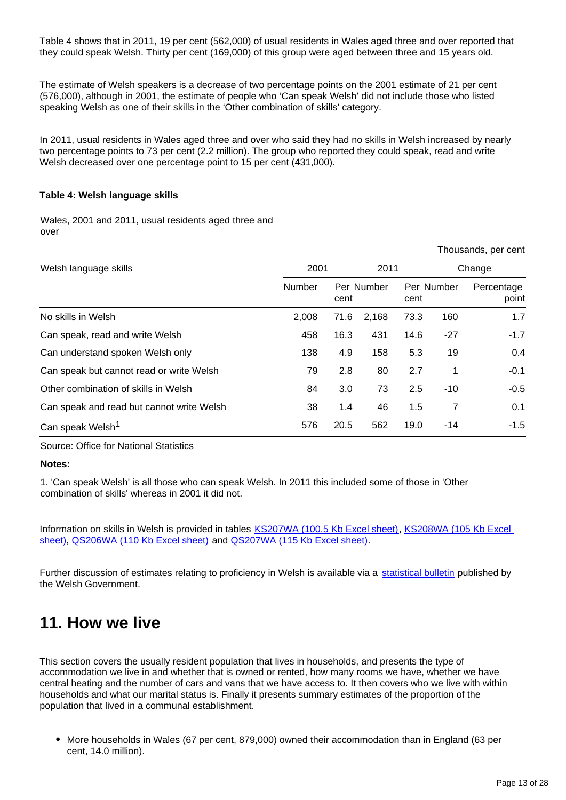Table 4 shows that in 2011, 19 per cent (562,000) of usual residents in Wales aged three and over reported that they could speak Welsh. Thirty per cent (169,000) of this group were aged between three and 15 years old.

The estimate of Welsh speakers is a decrease of two percentage points on the 2001 estimate of 21 per cent (576,000), although in 2001, the estimate of people who 'Can speak Welsh' did not include those who listed speaking Welsh as one of their skills in the 'Other combination of skills' category.

In 2011, usual residents in Wales aged three and over who said they had no skills in Welsh increased by nearly two percentage points to 73 per cent (2.2 million). The group who reported they could speak, read and write Welsh decreased over one percentage point to 15 per cent (431,000).

#### **Table 4: Welsh language skills**

Wales, 2001 and 2011, usual residents aged three and over

|                                           |        |      |            |      |            | THUUSAHUS, UUT UUHU |
|-------------------------------------------|--------|------|------------|------|------------|---------------------|
| Welsh language skills                     | 2001   |      | 2011       |      |            | Change              |
|                                           | Number | cent | Per Number | cent | Per Number | Percentage<br>point |
| No skills in Welsh                        | 2.008  | 71.6 | 2,168      | 73.3 | 160        | 1.7                 |
| Can speak, read and write Welsh           | 458    | 16.3 | 431        | 14.6 | $-27$      | $-1.7$              |
| Can understand spoken Welsh only          | 138    | 4.9  | 158        | 5.3  | 19         | 0.4                 |
| Can speak but cannot read or write Welsh  | 79     | 2.8  | 80         | 2.7  | 1          | $-0.1$              |
| Other combination of skills in Welsh      | 84     | 3.0  | 73         | 2.5  | $-10$      | $-0.5$              |
| Can speak and read but cannot write Welsh | 38     | 1.4  | 46         | 1.5  | 7          | 0.1                 |
| Can speak Welsh <sup>1</sup>              | 576    | 20.5 | 562        | 19.0 | -14        | $-1.5$              |

Source: Office for National Statistics

#### **Notes:**

1. 'Can speak Welsh' is all those who can speak Welsh. In 2011 this included some of those in 'Other combination of skills' whereas in 2001 it did not.

Information on skills in Welsh is provided in tables [KS207WA \(100.5 Kb Excel sheet\),](http://www.ons.gov.uk/ons/rel/census/2011-census/key-statistics-for-unitary-authorities-in-wales/rft-table-ks207wa.xls) [KS208WA \(105 Kb Excel](http://www.ons.gov.uk/ons/rel/census/2011-census/key-statistics-for-unitary-authorities-in-wales/rft-table-ks208wa.xls)  [sheet\),](http://www.ons.gov.uk/ons/rel/census/2011-census/key-statistics-for-unitary-authorities-in-wales/rft-table-ks208wa.xls) [QS206WA \(110 Kb Excel sheet\)](http://www.ons.gov.uk/ons/rel/census/2011-census/key-statistics-for-unitary-authorities-in-wales/rft-table-qs206wa.xls) and [QS207WA \(115 Kb Excel sheet\).](http://www.ons.gov.uk/ons/rel/census/2011-census/key-statistics-for-unitary-authorities-in-wales/rft-table-qs207wa.xls)

Further discussion of estimates relating to proficiency in Welsh is available via a [statistical bulletin](http://wales.gov.uk/topics/statistics/headlines/population2012/121211/?lang=en) published by the Welsh Government.

## <span id="page-12-0"></span>**11. How we live**

This section covers the usually resident population that lives in households, and presents the type of accommodation we live in and whether that is owned or rented, how many rooms we have, whether we have central heating and the number of cars and vans that we have access to. It then covers who we live with within households and what our marital status is. Finally it presents summary estimates of the proportion of the population that lived in a communal establishment.

• More households in Wales (67 per cent, 879,000) owned their accommodation than in England (63 per cent, 14.0 million).

Thousands, per cent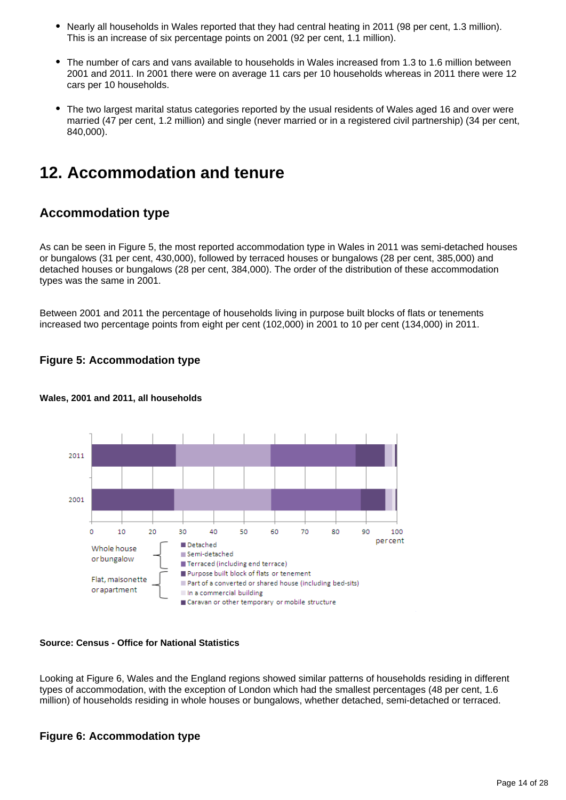- Nearly all households in Wales reported that they had central heating in 2011 (98 per cent, 1.3 million). This is an increase of six percentage points on 2001 (92 per cent, 1.1 million).
- The number of cars and vans available to households in Wales increased from 1.3 to 1.6 million between 2001 and 2011. In 2001 there were on average 11 cars per 10 households whereas in 2011 there were 12 cars per 10 households.
- The two largest marital status categories reported by the usual residents of Wales aged 16 and over were married (47 per cent, 1.2 million) and single (never married or in a registered civil partnership) (34 per cent, 840,000).

## <span id="page-13-0"></span>**12. Accommodation and tenure**

## **Accommodation type**

As can be seen in Figure 5, the most reported accommodation type in Wales in 2011 was semi-detached houses or bungalows (31 per cent, 430,000), followed by terraced houses or bungalows (28 per cent, 385,000) and detached houses or bungalows (28 per cent, 384,000). The order of the distribution of these accommodation types was the same in 2001.

Between 2001 and 2011 the percentage of households living in purpose built blocks of flats or tenements increased two percentage points from eight per cent (102,000) in 2001 to 10 per cent (134,000) in 2011.

### **Figure 5: Accommodation type**



### **Wales, 2001 and 2011, all households**

### **Source: Census - Office for National Statistics**

Looking at Figure 6, Wales and the England regions showed similar patterns of households residing in different types of accommodation, with the exception of London which had the smallest percentages (48 per cent, 1.6 million) of households residing in whole houses or bungalows, whether detached, semi-detached or terraced.

### **Figure 6: Accommodation type**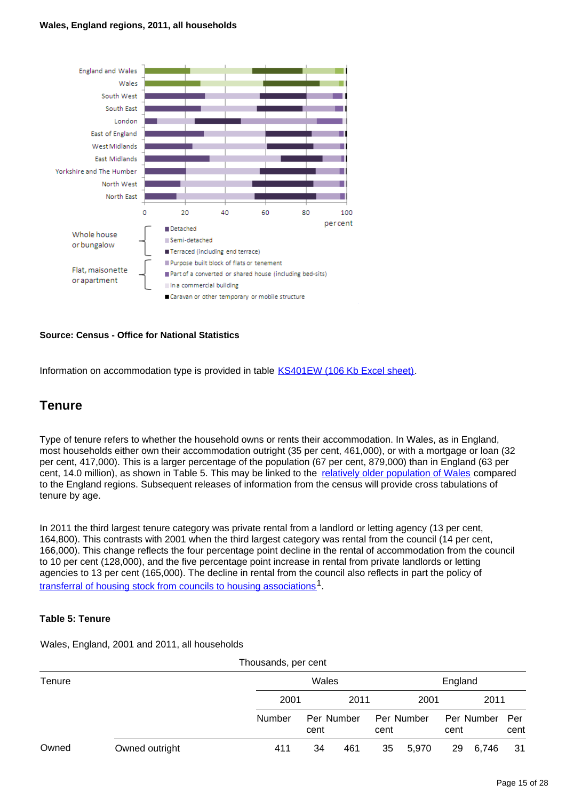#### **Wales, England regions, 2011, all households**



### **Source: Census - Office for National Statistics**

Information on accommodation type is provided in table [KS401EW \(106 Kb Excel sheet\)](http://www.ons.gov.uk/ons/rel/census/2011-census/key-statistics-for-unitary-authorities-in-wales/rft-table-ks401ew.xls).

### **Tenure**

Type of tenure refers to whether the household owns or rents their accommodation. In Wales, as in England, most households either own their accommodation outright (35 per cent, 461,000), or with a mortgage or loan (32 per cent, 417,000). This is a larger percentage of the population (67 per cent, 879,000) than in England (63 per cent, 14.0 million), as shown in Table 5. This may be linked to the [relatively older population of Wales](http://www.ons.gov.uk/ons/rel/census/2011-census/population-and-household-estimates-for-wales/stb-2011-census-wales.html) compared to the England regions. Subsequent releases of information from the census will provide cross tabulations of tenure by age.

In 2011 the third largest tenure category was private rental from a landlord or letting agency (13 per cent, 164,800). This contrasts with 2001 when the third largest category was rental from the council (14 per cent, 166,000). This change reflects the four percentage point decline in the rental of accommodation from the council to 10 per cent (128,000), and the five percentage point increase in rental from private landlords or letting agencies to 13 per cent (165,000). The decline in rental from the council also reflects in part the policy of [transferral of housing stock from councils to housing associations](http://www.ons.gov.uk/ons/external-links/other/housing-stock-from-councils-to-housing-associations.html)<sup>1</sup>.

### **Table 5: Tenure**

Wales, England, 2001 and 2011, all households

|        |                | Thousands, per cent |                    |      |      |            |         |            |             |  |
|--------|----------------|---------------------|--------------------|------|------|------------|---------|------------|-------------|--|
| Tenure |                |                     | Wales              |      |      |            | England |            |             |  |
|        |                | 2001                |                    | 2011 |      | 2001       |         | 2011       |             |  |
|        |                | Number              | Per Number<br>cent |      | cent | Per Number | cent    | Per Number | Per<br>cent |  |
| Owned  | Owned outright | 411                 | 34                 | 461  | 35   | 5,970      | 29      | 6,746      | 31          |  |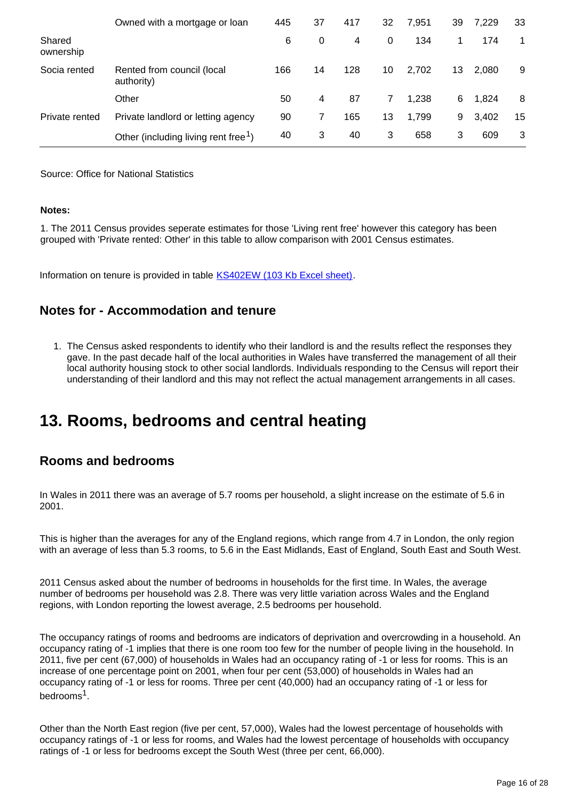|                     | Owned with a mortgage or loan                    | 445 | 37 | 417 | 32 | 7,951 | 39 | 7,229 | 33 |
|---------------------|--------------------------------------------------|-----|----|-----|----|-------|----|-------|----|
| Shared<br>ownership |                                                  | 6   | 0  | 4   | 0  | 134   |    | 174   | 1  |
| Socia rented        | Rented from council (local<br>authority)         | 166 | 14 | 128 | 10 | 2,702 | 13 | 2,080 | 9  |
|                     | Other                                            | 50  | 4  | 87  | 7  | 1,238 | 6  | 1,824 | 8  |
| Private rented      | Private landlord or letting agency               | 90  |    | 165 | 13 | 1,799 | 9  | 3,402 | 15 |
|                     | Other (including living rent free <sup>1</sup> ) | 40  | 3  | 40  | 3  | 658   | 3  | 609   | 3  |

Source: Office for National Statistics

#### **Notes:**

1. The 2011 Census provides seperate estimates for those 'Living rent free' however this category has been grouped with 'Private rented: Other' in this table to allow comparison with 2001 Census estimates.

Information on tenure is provided in table **KS402EW** (103 Kb Excel sheet).

## **Notes for - Accommodation and tenure**

1. The Census asked respondents to identify who their landlord is and the results reflect the responses they gave. In the past decade half of the local authorities in Wales have transferred the management of all their local authority housing stock to other social landlords. Individuals responding to the Census will report their understanding of their landlord and this may not reflect the actual management arrangements in all cases.

## <span id="page-15-0"></span>**13. Rooms, bedrooms and central heating**

## **Rooms and bedrooms**

In Wales in 2011 there was an average of 5.7 rooms per household, a slight increase on the estimate of 5.6 in 2001.

This is higher than the averages for any of the England regions, which range from 4.7 in London, the only region with an average of less than 5.3 rooms, to 5.6 in the East Midlands, East of England, South East and South West.

2011 Census asked about the number of bedrooms in households for the first time. In Wales, the average number of bedrooms per household was 2.8. There was very little variation across Wales and the England regions, with London reporting the lowest average, 2.5 bedrooms per household.

The occupancy ratings of rooms and bedrooms are indicators of deprivation and overcrowding in a household. An occupancy rating of -1 implies that there is one room too few for the number of people living in the household. In 2011, five per cent (67,000) of households in Wales had an occupancy rating of -1 or less for rooms. This is an increase of one percentage point on 2001, when four per cent (53,000) of households in Wales had an occupancy rating of -1 or less for rooms. Three per cent (40,000) had an occupancy rating of -1 or less for bedrooms<sup>1</sup>.

Other than the North East region (five per cent, 57,000), Wales had the lowest percentage of households with occupancy ratings of -1 or less for rooms, and Wales had the lowest percentage of households with occupancy ratings of -1 or less for bedrooms except the South West (three per cent, 66,000).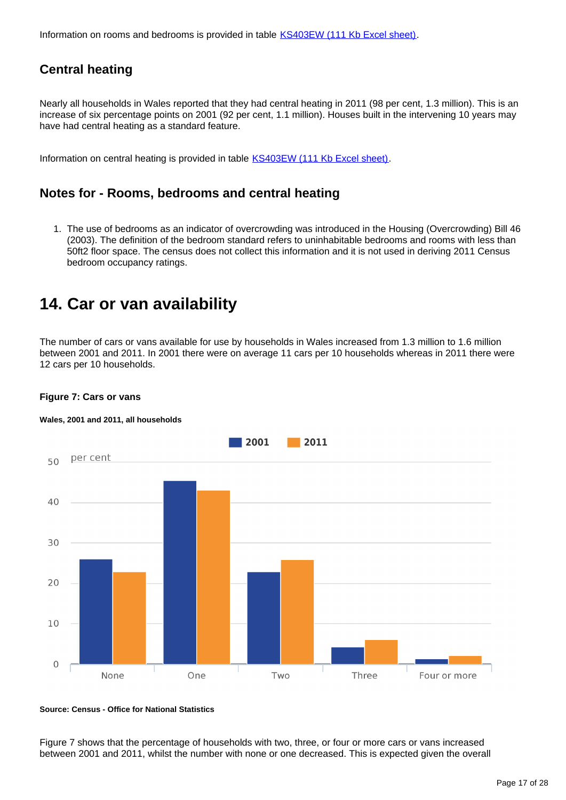Information on rooms and bedrooms is provided in table [KS403EW \(111 Kb Excel sheet\)](http://www.ons.gov.uk/ons/rel/census/2011-census/key-statistics-for-unitary-authorities-in-wales/rft-table-ks403ew.xls).

## **Central heating**

Nearly all households in Wales reported that they had central heating in 2011 (98 per cent, 1.3 million). This is an increase of six percentage points on 2001 (92 per cent, 1.1 million). Houses built in the intervening 10 years may have had central heating as a standard feature.

Information on central heating is provided in table **KS403EW** (111 Kb Excel sheet).

## **Notes for - Rooms, bedrooms and central heating**

1. The use of bedrooms as an indicator of overcrowding was introduced in the Housing (Overcrowding) Bill 46 (2003). The definition of the bedroom standard refers to uninhabitable bedrooms and rooms with less than 50ft2 floor space. The census does not collect this information and it is not used in deriving 2011 Census bedroom occupancy ratings.

## <span id="page-16-0"></span>**14. Car or van availability**

The number of cars or vans available for use by households in Wales increased from 1.3 million to 1.6 million between 2001 and 2011. In 2001 there were on average 11 cars per 10 households whereas in 2011 there were 12 cars per 10 households.



### **Figure 7: Cars or vans**

#### **Wales, 2001 and 2011, all households**

**Source: Census - Office for National Statistics**

Figure 7 shows that the percentage of households with two, three, or four or more cars or vans increased between 2001 and 2011, whilst the number with none or one decreased. This is expected given the overall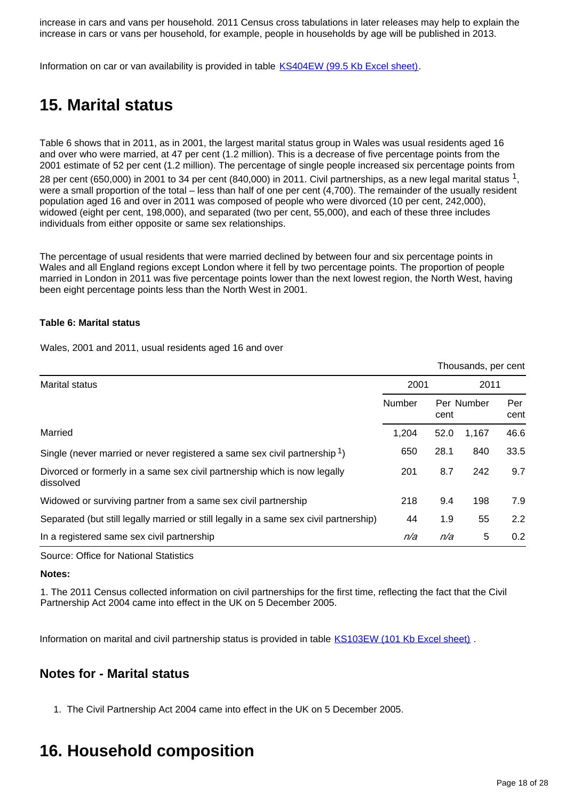increase in cars and vans per household. 2011 Census cross tabulations in later releases may help to explain the increase in cars or vans per household, for example, people in households by age will be published in 2013.

Information on car or van availability is provided in table [KS404EW \(99.5 Kb Excel sheet\)](http://www.ons.gov.uk/ons/rel/census/2011-census/key-statistics-for-unitary-authorities-in-wales/rft-table-ks404ew.xls).

# <span id="page-17-0"></span>**15. Marital status**

Table 6 shows that in 2011, as in 2001, the largest marital status group in Wales was usual residents aged 16 and over who were married, at 47 per cent (1.2 million). This is a decrease of five percentage points from the 2001 estimate of 52 per cent (1.2 million). The percentage of single people increased six percentage points from 28 per cent (650,000) in 2001 to 34 per cent (840,000) in 2011. Civil partnerships, as a new legal marital status  $1$ , were a small proportion of the total – less than half of one per cent (4,700). The remainder of the usually resident population aged 16 and over in 2011 was composed of people who were divorced (10 per cent, 242,000), widowed (eight per cent, 198,000), and separated (two per cent, 55,000), and each of these three includes individuals from either opposite or same sex relationships.

The percentage of usual residents that were married declined by between four and six percentage points in Wales and all England regions except London where it fell by two percentage points. The proportion of people married in London in 2011 was five percentage points lower than the next lowest region, the North West, having been eight percentage points less than the North West in 2001.

#### **Table 6: Marital status**

Wales, 2001 and 2011, usual residents aged 16 and over

Thousands, per cent

| Marital status                                                                         | 2001          |      | 2011       |             |
|----------------------------------------------------------------------------------------|---------------|------|------------|-------------|
|                                                                                        | <b>Number</b> | cent | Per Number | Per<br>cent |
| Married                                                                                | 1,204         | 52.0 | 1.167      | 46.6        |
| Single (never married or never registered a same sex civil partnership <sup>1</sup> )  | 650           | 28.1 | 840        | 33.5        |
| Divorced or formerly in a same sex civil partnership which is now legally<br>dissolved | 201           | 8.7  | 242        | 9.7         |
| Widowed or surviving partner from a same sex civil partnership                         | 218           | 9.4  | 198        | 7.9         |
| Separated (but still legally married or still legally in a same sex civil partnership) | 44            | 1.9  | 55         | 2.2         |
| In a registered same sex civil partnership                                             | n/a           | n/a  | 5          | 0.2         |

Source: Office for National Statistics

#### **Notes:**

1. The 2011 Census collected information on civil partnerships for the first time, reflecting the fact that the Civil Partnership Act 2004 came into effect in the UK on 5 December 2005.

Information on marital and civil partnership status is provided in table [KS103EW \(101 Kb Excel sheet\)](http://www.ons.gov.uk/ons/rel/census/2011-census/key-statistics-for-unitary-authorities-in-wales/rft-table-ks103ew.xls).

## **Notes for - Marital status**

1. The Civil Partnership Act 2004 came into effect in the UK on 5 December 2005.

## <span id="page-17-1"></span>**16. Household composition**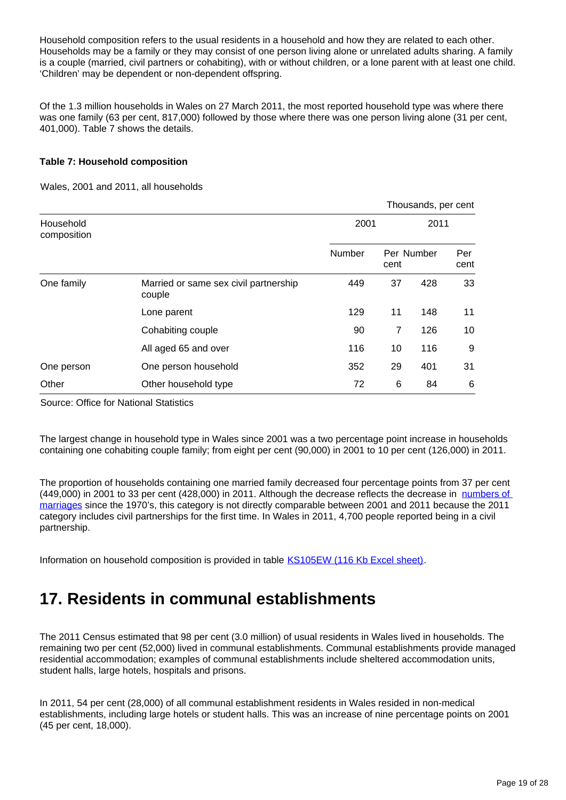Household composition refers to the usual residents in a household and how they are related to each other. Households may be a family or they may consist of one person living alone or unrelated adults sharing. A family is a couple (married, civil partners or cohabiting), with or without children, or a lone parent with at least one child. 'Children' may be dependent or non-dependent offspring.

Of the 1.3 million households in Wales on 27 March 2011, the most reported household type was where there was one family (63 per cent, 817,000) followed by those where there was one person living alone (31 per cent, 401,000). Table 7 shows the details.

### **Table 7: Household composition**

Wales, 2001 and 2011, all households

|                          |                                                 |        |      | Thousands, per cent |             |
|--------------------------|-------------------------------------------------|--------|------|---------------------|-------------|
| Household<br>composition |                                                 | 2001   |      | 2011                |             |
|                          |                                                 | Number | cent | Per Number          | Per<br>cent |
| One family               | Married or same sex civil partnership<br>couple | 449    | 37   | 428                 | 33          |
|                          | Lone parent                                     | 129    | 11   | 148                 | 11          |
|                          | Cohabiting couple                               | 90     | 7    | 126                 | 10          |
|                          | All aged 65 and over                            | 116    | 10   | 116                 | 9           |
| One person               | One person household                            | 352    | 29   | 401                 | 31          |
| Other                    | Other household type                            | 72     | 6    | 84                  | 6           |

Source: Office for National Statistics

The largest change in household type in Wales since 2001 was a two percentage point increase in households containing one cohabiting couple family; from eight per cent (90,000) in 2001 to 10 per cent (126,000) in 2011.

The proportion of households containing one married family decreased four percentage points from 37 per cent (449,000) in 2001 to 33 per cent (428,000) in 2011. Although the decrease reflects the decrease in numbers of [marriages](http://www.ons.gov.uk/ons/rel/vsob1/marriages-in-england-and-wales--provisional-/index.html) since the 1970's, this category is not directly comparable between 2001 and 2011 because the 2011 category includes civil partnerships for the first time. In Wales in 2011, 4,700 people reported being in a civil partnership.

Information on household composition is provided in table [KS105EW \(116 Kb Excel sheet\).](http://www.ons.gov.uk/ons/rel/census/2011-census/key-statistics-for-unitary-authorities-in-wales/rft-table-ks105ew.xls)

# <span id="page-18-0"></span>**17. Residents in communal establishments**

The 2011 Census estimated that 98 per cent (3.0 million) of usual residents in Wales lived in households. The remaining two per cent (52,000) lived in communal establishments. Communal establishments provide managed residential accommodation; examples of communal establishments include sheltered accommodation units, student halls, large hotels, hospitals and prisons.

In 2011, 54 per cent (28,000) of all communal establishment residents in Wales resided in non-medical establishments, including large hotels or student halls. This was an increase of nine percentage points on 2001 (45 per cent, 18,000).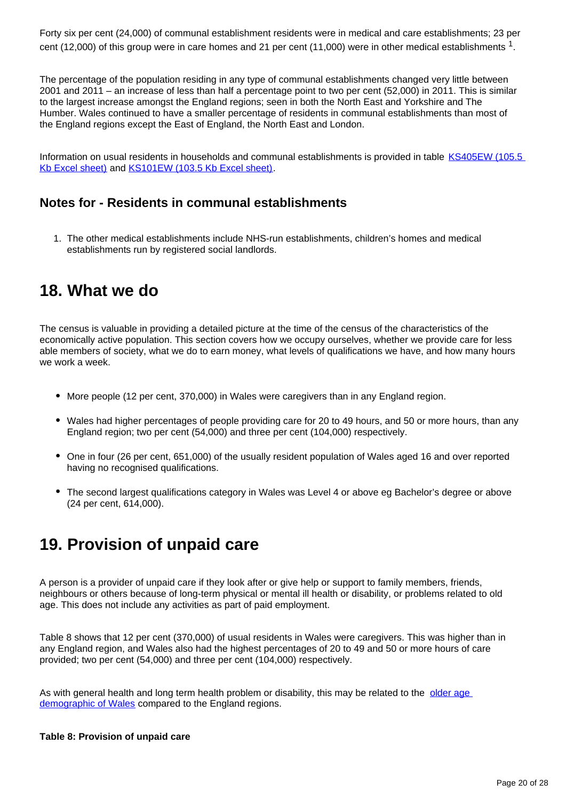Forty six per cent (24,000) of communal establishment residents were in medical and care establishments; 23 per cent (12,000) of this group were in care homes and 21 per cent (11,000) were in other medical establishments  $^1$ .

The percentage of the population residing in any type of communal establishments changed very little between 2001 and 2011 – an increase of less than half a percentage point to two per cent (52,000) in 2011. This is similar to the largest increase amongst the England regions; seen in both the North East and Yorkshire and The Humber. Wales continued to have a smaller percentage of residents in communal establishments than most of the England regions except the East of England, the North East and London.

Information on usual residents in households and communal establishments is provided in table [KS405EW \(105.5](http://www.ons.gov.uk/ons/rel/census/2011-census/key-statistics-for-unitary-authorities-in-wales/rft-table-ks405ew.xls)  [Kb Excel sheet\)](http://www.ons.gov.uk/ons/rel/census/2011-census/key-statistics-for-unitary-authorities-in-wales/rft-table-ks405ew.xls) and [KS101EW \(103.5 Kb Excel sheet\)](http://www.ons.gov.uk/ons/rel/census/2011-census/key-statistics-for-unitary-authorities-in-wales/rft-table-ks101ew.xls).

## **Notes for - Residents in communal establishments**

1. The other medical establishments include NHS-run establishments, children's homes and medical establishments run by registered social landlords.

## <span id="page-19-0"></span>**18. What we do**

The census is valuable in providing a detailed picture at the time of the census of the characteristics of the economically active population. This section covers how we occupy ourselves, whether we provide care for less able members of society, what we do to earn money, what levels of qualifications we have, and how many hours we work a week.

- More people (12 per cent, 370,000) in Wales were caregivers than in any England region.
- Wales had higher percentages of people providing care for 20 to 49 hours, and 50 or more hours, than any England region; two per cent (54,000) and three per cent (104,000) respectively.
- One in four (26 per cent, 651,000) of the usually resident population of Wales aged 16 and over reported having no recognised qualifications.
- The second largest qualifications category in Wales was Level 4 or above eg Bachelor's degree or above (24 per cent, 614,000).

# <span id="page-19-1"></span>**19. Provision of unpaid care**

A person is a provider of unpaid care if they look after or give help or support to family members, friends, neighbours or others because of long-term physical or mental ill health or disability, or problems related to old age. This does not include any activities as part of paid employment.

Table 8 shows that 12 per cent (370,000) of usual residents in Wales were caregivers. This was higher than in any England region, and Wales also had the highest percentages of 20 to 49 and 50 or more hours of care provided; two per cent (54,000) and three per cent (104,000) respectively.

As with general health and long term health problem or disability, this may be related to the [older age](http://www.ons.gov.uk/ons/rel/census/2011-census/population-and-household-estimates-for-wales/stb-2011-census-wales.html)  [demographic of Wales](http://www.ons.gov.uk/ons/rel/census/2011-census/population-and-household-estimates-for-wales/stb-2011-census-wales.html) compared to the England regions.

### **Table 8: Provision of unpaid care**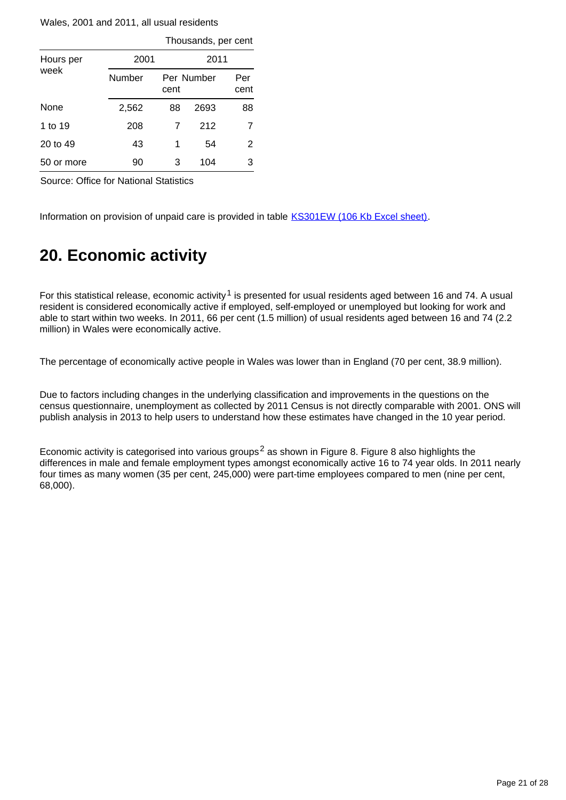Wales, 2001 and 2011, all usual residents

|            |        |      | Thousands, per cent |             |  |  |  |
|------------|--------|------|---------------------|-------------|--|--|--|
| Hours per  | 2001   |      | 2011                |             |  |  |  |
| week       | Number | cent | Per Number          | Per<br>cent |  |  |  |
| None       | 2,562  | 88   | 2693                | 88          |  |  |  |
| 1 to 19    | 208    | 7    | 212                 | 7           |  |  |  |
| 20 to 49   | 43     | 1    | 54                  | 2           |  |  |  |
| 50 or more | 90     | 3    | 104                 | 3           |  |  |  |

Source: Office for National Statistics

Information on provision of unpaid care is provided in table **KS301EW** (106 Kb Excel sheet).

## <span id="page-20-0"></span>**20. Economic activity**

For this statistical release, economic activity<sup>1</sup> is presented for usual residents aged between 16 and 74. A usual resident is considered economically active if employed, self-employed or unemployed but looking for work and able to start within two weeks. In 2011, 66 per cent (1.5 million) of usual residents aged between 16 and 74 (2.2 million) in Wales were economically active.

The percentage of economically active people in Wales was lower than in England (70 per cent, 38.9 million).

Due to factors including changes in the underlying classification and improvements in the questions on the census questionnaire, unemployment as collected by 2011 Census is not directly comparable with 2001. ONS will publish analysis in 2013 to help users to understand how these estimates have changed in the 10 year period.

Economic activity is categorised into various groups<sup>2</sup> as shown in Figure 8. Figure 8 also highlights the differences in male and female employment types amongst economically active 16 to 74 year olds. In 2011 nearly four times as many women (35 per cent, 245,000) were part-time employees compared to men (nine per cent, 68,000).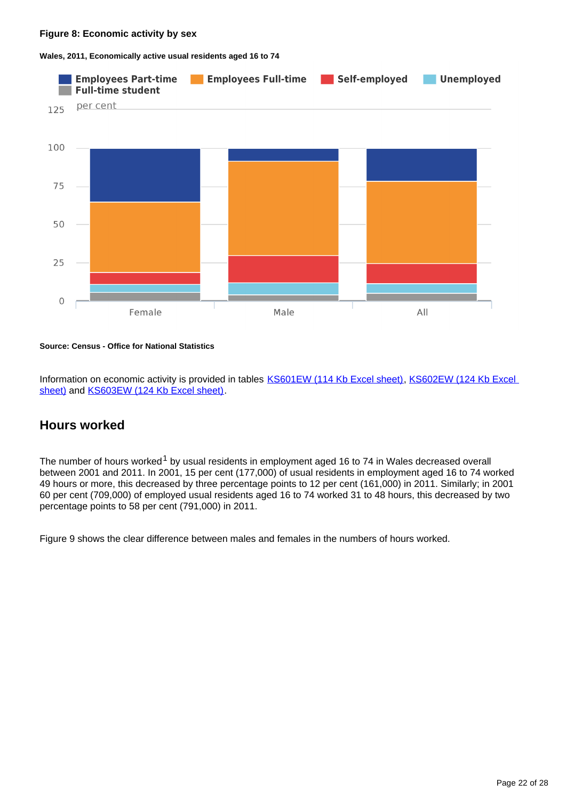**Wales, 2011, Economically active usual residents aged 16 to 74**



#### **Source: Census - Office for National Statistics**

Information on economic activity is provided in tables [KS601EW \(114 Kb Excel sheet\),](http://www.ons.gov.uk/ons/rel/census/2011-census/key-statistics-for-unitary-authorities-in-wales/rft-table-ks601ew.xls) KS602EW (124 Kb Excel [sheet\)](http://www.ons.gov.uk/ons/rel/census/2011-census/key-statistics-for-unitary-authorities-in-wales/rft-table-ks602ew.xls) and [KS603EW \(124 Kb Excel sheet\).](http://www.ons.gov.uk/ons/rel/census/2011-census/key-statistics-for-unitary-authorities-in-wales/rft-table-ks603ew.xls)

## **Hours worked**

The number of hours worked<sup>1</sup> by usual residents in employment aged 16 to 74 in Wales decreased overall between 2001 and 2011. In 2001, 15 per cent (177,000) of usual residents in employment aged 16 to 74 worked 49 hours or more, this decreased by three percentage points to 12 per cent (161,000) in 2011. Similarly; in 2001 60 per cent (709,000) of employed usual residents aged 16 to 74 worked 31 to 48 hours, this decreased by two percentage points to 58 per cent (791,000) in 2011.

Figure 9 shows the clear difference between males and females in the numbers of hours worked.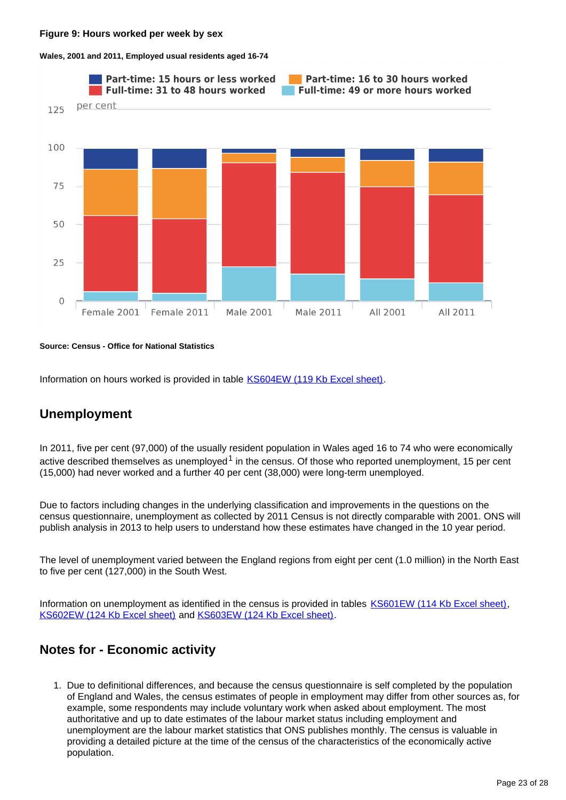**Wales, 2001 and 2011, Employed usual residents aged 16-74**



#### **Source: Census - Office for National Statistics**

Information on hours worked is provided in table **KS604EW** (119 Kb Excel sheet).

## **Unemployment**

In 2011, five per cent (97,000) of the usually resident population in Wales aged 16 to 74 who were economically active described themselves as unemployed<sup>1</sup> in the census. Of those who reported unemployment, 15 per cent (15,000) had never worked and a further 40 per cent (38,000) were long-term unemployed.

Due to factors including changes in the underlying classification and improvements in the questions on the census questionnaire, unemployment as collected by 2011 Census is not directly comparable with 2001. ONS will publish analysis in 2013 to help users to understand how these estimates have changed in the 10 year period.

The level of unemployment varied between the England regions from eight per cent (1.0 million) in the North East to five per cent (127,000) in the South West.

Information on unemployment as identified in the census is provided in tables [KS601EW \(114 Kb Excel sheet\),](http://www.ons.gov.uk/ons/rel/census/2011-census/key-statistics-for-unitary-authorities-in-wales/rft-table-ks601ew.xls) [KS602EW \(124 Kb Excel sheet\)](http://www.ons.gov.uk/ons/rel/census/2011-census/key-statistics-for-unitary-authorities-in-wales/rft-table-ks602ew.xls) and [KS603EW \(124 Kb Excel sheet\)](http://www.ons.gov.uk/ons/rel/census/2011-census/key-statistics-for-unitary-authorities-in-wales/rft-table-ks603ew.xls).

## **Notes for - Economic activity**

1. Due to definitional differences, and because the census questionnaire is self completed by the population of England and Wales, the census estimates of people in employment may differ from other sources as, for example, some respondents may include voluntary work when asked about employment. The most authoritative and up to date estimates of the labour market status including employment and unemployment are the labour market statistics that ONS publishes monthly. The census is valuable in providing a detailed picture at the time of the census of the characteristics of the economically active population.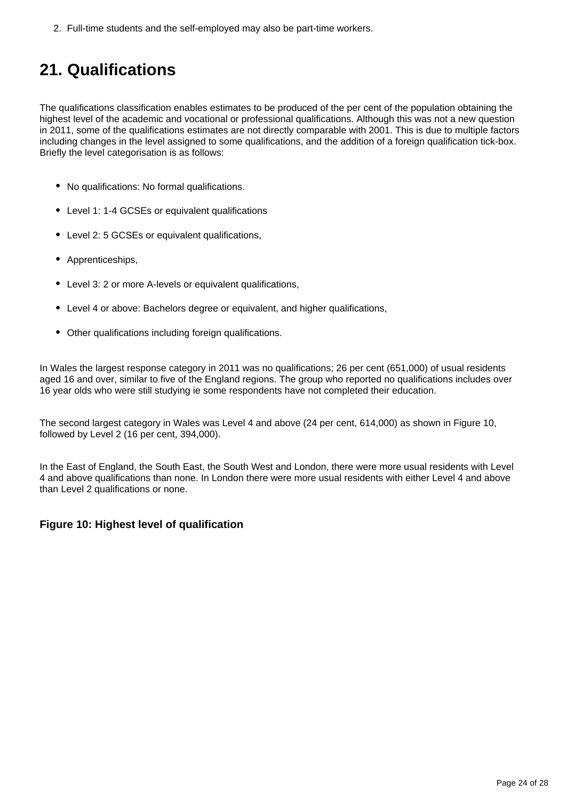2. Full-time students and the self-employed may also be part-time workers.

# <span id="page-23-0"></span>**21. Qualifications**

The qualifications classification enables estimates to be produced of the per cent of the population obtaining the highest level of the academic and vocational or professional qualifications. Although this was not a new question in 2011, some of the qualifications estimates are not directly comparable with 2001. This is due to multiple factors including changes in the level assigned to some qualifications, and the addition of a foreign qualification tick-box. Briefly the level categorisation is as follows:

- No qualifications: No formal qualifications.
- Level 1: 1-4 GCSEs or equivalent qualifications
- Level 2: 5 GCSEs or equivalent qualifications,
- Apprenticeships,
- Level 3: 2 or more A-levels or equivalent qualifications,
- Level 4 or above: Bachelors degree or equivalent, and higher qualifications,
- Other qualifications including foreign qualifications.

In Wales the largest response category in 2011 was no qualifications; 26 per cent (651,000) of usual residents aged 16 and over, similar to five of the England regions. The group who reported no qualifications includes over 16 year olds who were still studying ie some respondents have not completed their education.

The second largest category in Wales was Level 4 and above (24 per cent, 614,000) as shown in Figure 10, followed by Level 2 (16 per cent, 394,000).

In the East of England, the South East, the South West and London, there were more usual residents with Level 4 and above qualifications than none. In London there were more usual residents with either Level 4 and above than Level 2 qualifications or none.

### **Figure 10: Highest level of qualification**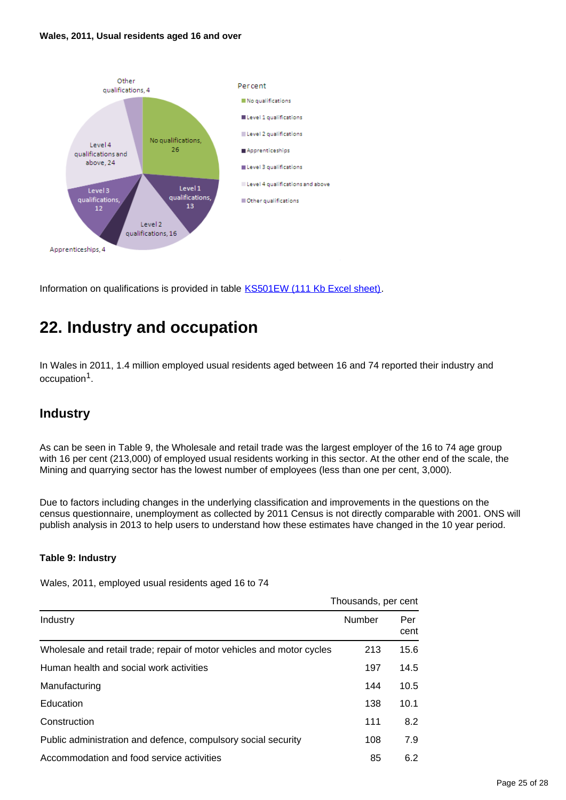#### **Wales, 2011, Usual residents aged 16 and over**



Information on qualifications is provided in table [KS501EW \(111 Kb Excel sheet\)](http://www.ons.gov.uk/ons/rel/census/2011-census/key-statistics-for-unitary-authorities-in-wales/rft-table-ks501ew.xls).

# <span id="page-24-0"></span>**22. Industry and occupation**

In Wales in 2011, 1.4 million employed usual residents aged between 16 and 74 reported their industry and occupation<sup>1</sup>.

## **Industry**

As can be seen in Table 9, the Wholesale and retail trade was the largest employer of the 16 to 74 age group with 16 per cent (213,000) of employed usual residents working in this sector. At the other end of the scale, the Mining and quarrying sector has the lowest number of employees (less than one per cent, 3,000).

Due to factors including changes in the underlying classification and improvements in the questions on the census questionnaire, unemployment as collected by 2011 Census is not directly comparable with 2001. ONS will publish analysis in 2013 to help users to understand how these estimates have changed in the 10 year period.

### **Table 9: Industry**

Wales, 2011, employed usual residents aged 16 to 74

|                                                                       | Thousands, per cent |             |
|-----------------------------------------------------------------------|---------------------|-------------|
| Industry                                                              | Number              | Per<br>cent |
| Wholesale and retail trade; repair of motor vehicles and motor cycles | 213                 | 15.6        |
| Human health and social work activities                               | 197                 | 14.5        |
| Manufacturing                                                         | 144                 | 10.5        |
| Education                                                             | 138                 | 10.1        |
| Construction                                                          | 111                 | 8.2         |
| Public administration and defence, compulsory social security         | 108                 | 7.9         |
| Accommodation and food service activities                             | 85                  | 6.2         |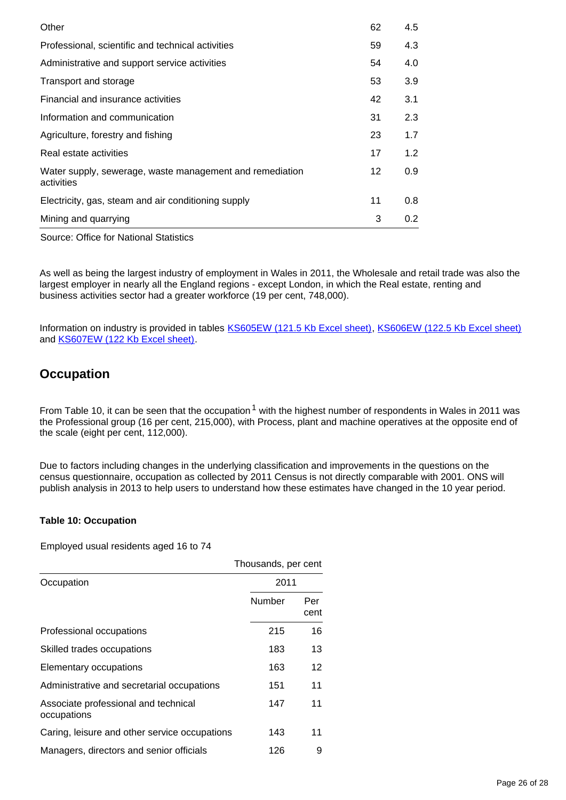| Other                                                                  | 62 | 4.5           |
|------------------------------------------------------------------------|----|---------------|
| Professional, scientific and technical activities                      | 59 | 4.3           |
| Administrative and support service activities                          | 54 | 4.0           |
| Transport and storage                                                  | 53 | 3.9           |
| Financial and insurance activities                                     | 42 | 3.1           |
| Information and communication                                          | 31 | 2.3           |
| Agriculture, forestry and fishing                                      | 23 | 1.7           |
| Real estate activities                                                 | 17 | 1.2           |
| Water supply, sewerage, waste management and remediation<br>activities | 12 | 0.9           |
| Electricity, gas, steam and air conditioning supply                    | 11 | 0.8           |
| Mining and quarrying                                                   | 3  | $0.2^{\circ}$ |

Source: Office for National Statistics

As well as being the largest industry of employment in Wales in 2011, the Wholesale and retail trade was also the largest employer in nearly all the England regions - except London, in which the Real estate, renting and business activities sector had a greater workforce (19 per cent, 748,000).

Information on industry is provided in tables [KS605EW \(121.5 Kb Excel sheet\)](http://www.ons.gov.uk/ons/rel/census/2011-census/key-statistics-for-unitary-authorities-in-wales/rft-table-ks605ew.xls), [KS606EW \(122.5 Kb Excel sheet\)](http://www.ons.gov.uk/ons/rel/census/2011-census/key-statistics-for-unitary-authorities-in-wales/rft-table-ks606ew.xls) and [KS607EW \(122 Kb Excel sheet\).](http://www.ons.gov.uk/ons/rel/census/2011-census/key-statistics-for-unitary-authorities-in-wales/rft-table-ks607ew.xls)

## **Occupation**

From Table 10, it can be seen that the occupation<sup>1</sup> with the highest number of respondents in Wales in 2011 was the Professional group (16 per cent, 215,000), with Process, plant and machine operatives at the opposite end of the scale (eight per cent, 112,000).

Due to factors including changes in the underlying classification and improvements in the questions on the census questionnaire, occupation as collected by 2011 Census is not directly comparable with 2001. ONS will publish analysis in 2013 to help users to understand how these estimates have changed in the 10 year period.

### **Table 10: Occupation**

Employed usual residents aged 16 to 74

|                                                     | Thousands, per cent |             |
|-----------------------------------------------------|---------------------|-------------|
| Occupation                                          | 2011                |             |
|                                                     | Number              | Per<br>cent |
| Professional occupations                            | 215                 | 16          |
| Skilled trades occupations                          | 183                 | 13          |
| Elementary occupations                              | 163                 | 12          |
| Administrative and secretarial occupations          | 151                 | 11          |
| Associate professional and technical<br>occupations | 147                 | 11          |
| Caring, leisure and other service occupations       | 143                 | 11          |
| Managers, directors and senior officials            | 126                 | 9           |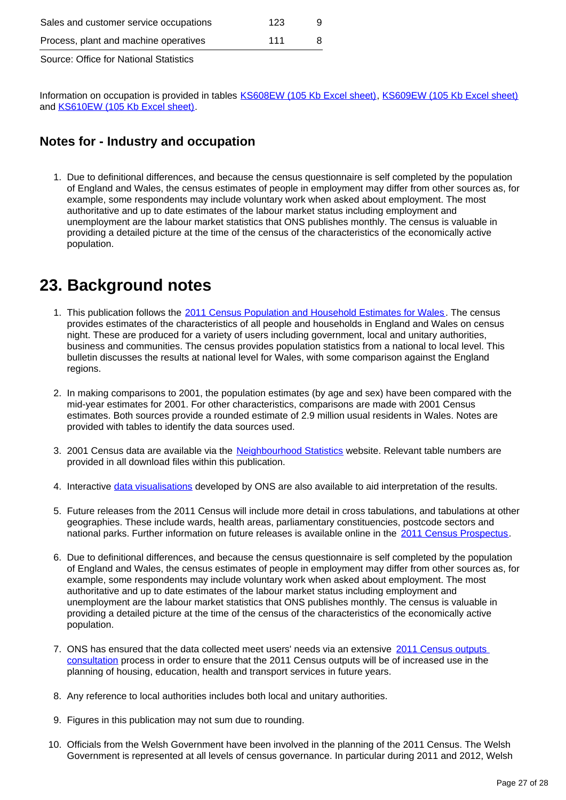| Process, plant and machine operatives  | 111 |  |
|----------------------------------------|-----|--|
| Source: Office for National Statistics |     |  |

Information on occupation is provided in tables [KS608EW \(105 Kb Excel sheet\)](http://www.ons.gov.uk/ons/rel/census/2011-census/key-statistics-for-unitary-authorities-in-wales/rft-table-ks608ew.xls), [KS609EW \(105 Kb Excel sheet\)](http://www.ons.gov.uk/ons/rel/census/2011-census/key-statistics-for-unitary-authorities-in-wales/rft-table-ks609ew.xls) and [KS610EW \(105 Kb Excel sheet\).](http://www.ons.gov.uk/ons/rel/census/2011-census/key-statistics-for-unitary-authorities-in-wales/rft-table-ks610ew.xls)

## **Notes for - Industry and occupation**

1. Due to definitional differences, and because the census questionnaire is self completed by the population of England and Wales, the census estimates of people in employment may differ from other sources as, for example, some respondents may include voluntary work when asked about employment. The most authoritative and up to date estimates of the labour market status including employment and unemployment are the labour market statistics that ONS publishes monthly. The census is valuable in providing a detailed picture at the time of the census of the characteristics of the economically active population.

# <span id="page-26-0"></span>**23. Background notes**

- 1. This publication follows the [2011 Census Population and Household Estimates for Wales.](http://www.ons.gov.uk/ons/rel/census/2011-census/population-and-household-estimates-for-wales/index.html) The census provides estimates of the characteristics of all people and households in England and Wales on census night. These are produced for a variety of users including government, local and unitary authorities, business and communities. The census provides population statistics from a national to local level. This bulletin discusses the results at national level for Wales, with some comparison against the England regions.
- 2. In making comparisons to 2001, the population estimates (by age and sex) have been compared with the mid-year estimates for 2001. For other characteristics, comparisons are made with 2001 Census estimates. Both sources provide a rounded estimate of 2.9 million usual residents in Wales. Notes are provided with tables to identify the data sources used.
- 3. 2001 Census data are available via the [Neighbourhood Statistics](http://www.ons.gov.uk/ons/external-links/ons---search-definition-results/neighbourhood-statistics.html) website. Relevant table numbers are provided in all download files within this publication.
- 4. Interactive [data visualisations](http://www.ons.gov.uk/ons/interactive/index.html) developed by ONS are also available to aid interpretation of the results.
- 5. Future releases from the 2011 Census will include more detail in cross tabulations, and tabulations at other geographies. These include wards, health areas, parliamentary constituencies, postcode sectors and national parks. Further information on future releases is available online in the [2011 Census Prospectus](http://www.ons.gov.uk/ons/guide-method/census/2011/census-data/2011-census-prospectus/index.html).
- 6. Due to definitional differences, and because the census questionnaire is self completed by the population of England and Wales, the census estimates of people in employment may differ from other sources as, for example, some respondents may include voluntary work when asked about employment. The most authoritative and up to date estimates of the labour market status including employment and unemployment are the labour market statistics that ONS publishes monthly. The census is valuable in providing a detailed picture at the time of the census of the characteristics of the economically active population.
- 7. ONS has ensured that the data collected meet users' needs via an extensive 2011 Census outputs [consultation](http://www.ons.gov.uk/ons/guide-method/census/2011/the-2011-census/census-consultations/index.html) process in order to ensure that the 2011 Census outputs will be of increased use in the planning of housing, education, health and transport services in future years.
- 8. Any reference to local authorities includes both local and unitary authorities.
- 9. Figures in this publication may not sum due to rounding.
- 10. Officials from the Welsh Government have been involved in the planning of the 2011 Census. The Welsh Government is represented at all levels of census governance. In particular during 2011 and 2012, Welsh